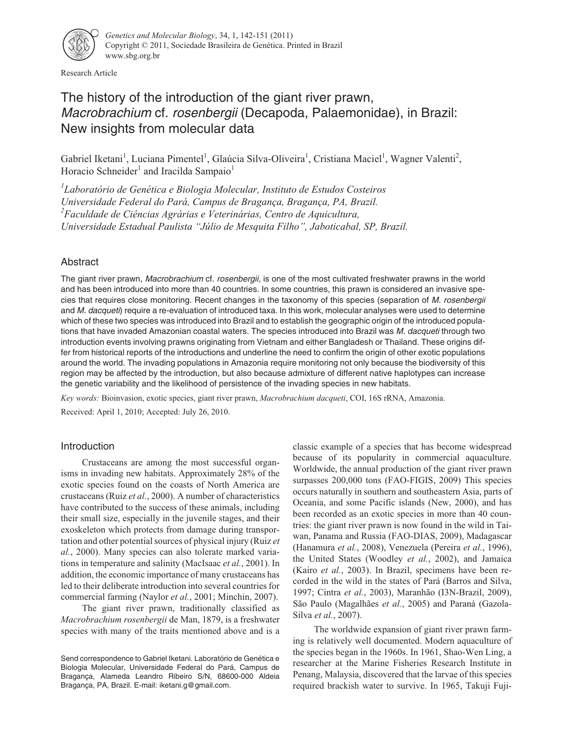

Research Article

# The history of the introduction of the giant river prawn, Macrobrachium cf. rosenbergii (Decapoda, Palaemonidae), in Brazil: New insights from molecular data

Gabriel Iketani<sup>1</sup>, Luciana Pimentel<sup>1</sup>, Glaúcia Silva-Oliveira<sup>1</sup>, Cristiana Maciel<sup>1</sup>, Wagner Valenti<sup>2</sup>, Horacio Schneider<sup>1</sup> and Iracilda Sampaio<sup>1</sup>

*1 Laboratório de Genética e Biologia Molecular, Instituto de Estudos Costeiros Universidade Federal do Pará, Campus de Bragança, Bragança, PA, Brazil. 2 Faculdade de Ciências Agrárias e Veterinárias, Centro de Aquicultura, Universidade Estadual Paulista "Júlio de Mesquita Filho", Jaboticabal, SP, Brazil.*

# Abstract

The giant river prawn, Macrobrachium cf. rosenbergii, is one of the most cultivated freshwater prawns in the world and has been introduced into more than 40 countries. In some countries, this prawn is considered an invasive species that requires close monitoring. Recent changes in the taxonomy of this species (separation of M. rosenbergii and M. dacqueti) require a re-evaluation of introduced taxa. In this work, molecular analyses were used to determine which of these two species was introduced into Brazil and to establish the geographic origin of the introduced populations that have invaded Amazonian coastal waters. The species introduced into Brazil was M. dacqueti through two introduction events involving prawns originating from Vietnam and either Bangladesh or Thailand. These origins differ from historical reports of the introductions and underline the need to confirm the origin of other exotic populations around the world. The invading populations in Amazonia require monitoring not only because the biodiversity of this region may be affected by the introduction, but also because admixture of different native haplotypes can increase the genetic variability and the likelihood of persistence of the invading species in new habitats.

*Key words:* Bioinvasion, exotic species, giant river prawn, *Macrobrachium dacqueti*, COI, 16S rRNA, Amazonia. Received: April 1, 2010; Accepted: July 26, 2010.

# Introduction

Crustaceans are among the most successful organisms in invading new habitats. Approximately 28% of the exotic species found on the coasts of North America are crustaceans (Ruiz *et al.*, 2000). A number of characteristics have contributed to the success of these animals, including their small size, especially in the juvenile stages, and their exoskeleton which protects from damage during transportation and other potential sources of physical injury (Ruiz *et al.*, 2000). Many species can also tolerate marked variations in temperature and salinity (MacIsaac *et al.*, 2001). In addition, the economic importance of many crustaceans has led to their deliberate introduction into several countries for commercial farming (Naylor *et al.*, 2001; Minchin, 2007).

The giant river prawn, traditionally classified as *Macrobrachium rosenbergii* de Man, 1879, is a freshwater species with many of the traits mentioned above and is a classic example of a species that has become widespread because of its popularity in commercial aquaculture. Worldwide, the annual production of the giant river prawn surpasses 200,000 tons (FAO-FIGIS, 2009) This species occurs naturally in southern and southeastern Asia, parts of Oceania, and some Pacific islands (New, 2000), and has been recorded as an exotic species in more than 40 countries: the giant river prawn is now found in the wild in Taiwan, Panama and Russia (FAO-DIAS, 2009), Madagascar (Hanamura *et al.*, 2008), Venezuela (Pereira *et al.*, 1996), the United States (Woodley *et al.*, 2002), and Jamaica (Kairo *et al.*, 2003). In Brazil, specimens have been recorded in the wild in the states of Pará (Barros and Silva, 1997; Cintra *et al.*, 2003), Maranhão (I3N-Brazil, 2009), São Paulo (Magalhães *et al.*, 2005) and Paraná (Gazola-Silva *et al.*, 2007).

The worldwide expansion of giant river prawn farming is relatively well documented. Modern aquaculture of the species began in the 1960s. In 1961, Shao-Wen Ling, a researcher at the Marine Fisheries Research Institute in Penang, Malaysia, discovered that the larvae of this species required brackish water to survive. In 1965, Takuji Fuji-

Send correspondence to Gabriel Iketani. Laboratório de Genética e Biologia Molecular, Universidade Federal do Pará, Campus de Bragança, Alameda Leandro Ribeiro S/N, 68600-000 Aldeia Bragança, PA, Brazil. E-mail: iketani.g@gmail.com.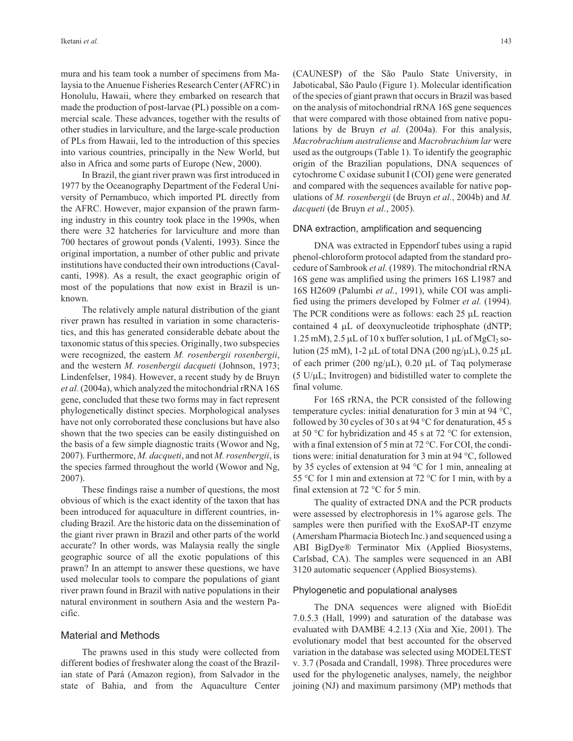mura and his team took a number of specimens from Malaysia to the Anuenue Fisheries Research Center (AFRC) in Honolulu, Hawaii, where they embarked on research that made the production of post-larvae (PL) possible on a commercial scale. These advances, together with the results of other studies in larviculture, and the large-scale production of PLs from Hawaii, led to the introduction of this species into various countries, principally in the New World, but also in Africa and some parts of Europe (New, 2000).

In Brazil, the giant river prawn was first introduced in 1977 by the Oceanography Department of the Federal University of Pernambuco, which imported PL directly from the AFRC. However, major expansion of the prawn farming industry in this country took place in the 1990s, when there were 32 hatcheries for larviculture and more than 700 hectares of growout ponds (Valenti, 1993). Since the original importation, a number of other public and private institutions have conducted their own introductions (Cavalcanti, 1998). As a result, the exact geographic origin of most of the populations that now exist in Brazil is unknown.

The relatively ample natural distribution of the giant river prawn has resulted in variation in some characteristics, and this has generated considerable debate about the taxonomic status of this species. Originally, two subspecies were recognized, the eastern *M. rosenbergii rosenbergii*, and the western *M. rosenbergii dacqueti* (Johnson, 1973; Lindenfelser, 1984). However, a recent study by de Bruyn *et al.* (2004a), which analyzed the mitochondrial rRNA 16S gene, concluded that these two forms may in fact represent phylogenetically distinct species. Morphological analyses have not only corroborated these conclusions but have also shown that the two species can be easily distinguished on the basis of a few simple diagnostic traits (Wowor and Ng, 2007). Furthermore, *M. dacqueti*, and not *M. rosenbergii*, is the species farmed throughout the world (Wowor and Ng, 2007).

These findings raise a number of questions, the most obvious of which is the exact identity of the taxon that has been introduced for aquaculture in different countries, including Brazil. Are the historic data on the dissemination of the giant river prawn in Brazil and other parts of the world accurate? In other words, was Malaysia really the single geographic source of all the exotic populations of this prawn? In an attempt to answer these questions, we have used molecular tools to compare the populations of giant river prawn found in Brazil with native populations in their natural environment in southern Asia and the western Pacific.

## Material and Methods

The prawns used in this study were collected from different bodies of freshwater along the coast of the Brazilian state of Pará (Amazon region), from Salvador in the state of Bahia, and from the Aquaculture Center

(CAUNESP) of the São Paulo State University, in Jaboticabal, São Paulo (Figure 1). Molecular identification of the species of giant prawn that occurs in Brazil was based on the analysis of mitochondrial rRNA 16S gene sequences that were compared with those obtained from native populations by de Bruyn *et al.* (2004a). For this analysis, *Macrobrachium australiense* and *Macrobrachium lar* were used as the outgroups (Table 1). To identify the geographic origin of the Brazilian populations, DNA sequences of cytochrome C oxidase subunit I (COI) gene were generated and compared with the sequences available for native populations of *M. rosenbergii* (de Bruyn *et al.*, 2004b) and *M. dacqueti* (de Bruyn *et al.*, 2005).

#### DNA extraction, amplification and sequencing

DNA was extracted in Eppendorf tubes using a rapid phenol-chloroform protocol adapted from the standard procedure of Sambrook *et al.* (1989). The mitochondrial rRNA 16S gene was amplified using the primers 16S L1987 and 16S H2609 (Palumbi *et al.*, 1991), while COI was amplified using the primers developed by Folmer *et al.* (1994). The PCR conditions were as follows: each  $25 \mu L$  reaction contained 4  $\mu$ L of deoxynucleotide triphosphate (dNTP;  $1.25 \text{ mM}$ ),  $2.5 \mu L$  of  $10 \text{ x}$  buffer solution,  $1 \mu L$  of MgCl<sub>2</sub> solution (25 mM), 1-2  $\mu$ L of total DNA (200 ng/ $\mu$ L), 0.25  $\mu$ L of each primer (200 ng/ $\mu$ L), 0.20  $\mu$ L of Taq polymerase  $(5 \text{ U/}\mu\text{L}$ ; Invitrogen) and bidistilled water to complete the final volume.

For 16S rRNA, the PCR consisted of the following temperature cycles: initial denaturation for 3 min at 94 °C, followed by 30 cycles of 30 s at 94  $\degree$ C for denaturation, 45 s at 50 °C for hybridization and 45 s at 72 °C for extension, with a final extension of 5 min at 72 °C. For COI, the conditions were: initial denaturation for 3 min at 94 °C, followed by 35 cycles of extension at 94 °C for 1 min, annealing at 55 °C for 1 min and extension at 72 °C for 1 min, with by a final extension at 72 °C for 5 min.

The quality of extracted DNA and the PCR products were assessed by electrophoresis in 1% agarose gels. The samples were then purified with the ExoSAP-IT enzyme (Amersham Pharmacia Biotech Inc.) and sequenced using a ABI BigDye® Terminator Mix (Applied Biosystems, Carlsbad, CA). The samples were sequenced in an ABI 3120 automatic sequencer (Applied Biosystems).

#### Phylogenetic and populational analyses

The DNA sequences were aligned with BioEdit 7.0.5.3 (Hall, 1999) and saturation of the database was evaluated with DAMBE 4.2.13 (Xia and Xie, 2001). The evolutionary model that best accounted for the observed variation in the database was selected using MODELTEST v. 3.7 (Posada and Crandall, 1998). Three procedures were used for the phylogenetic analyses, namely, the neighbor joining (NJ) and maximum parsimony (MP) methods that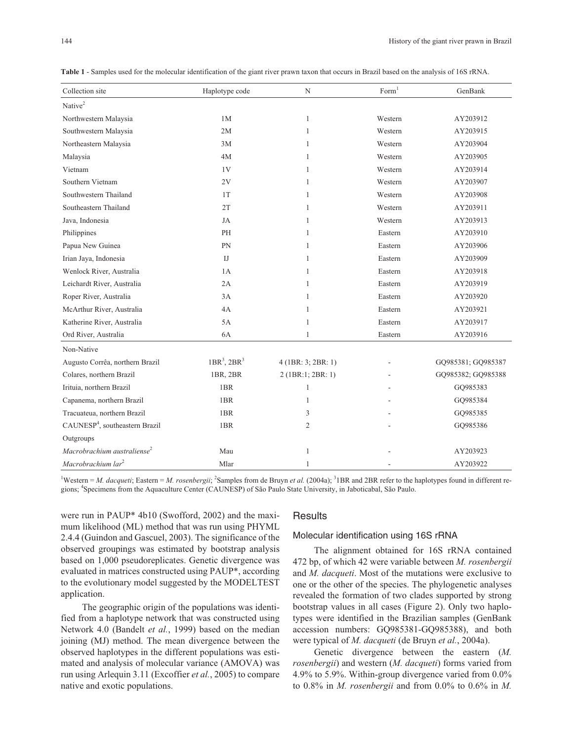| Collection site                            | Haplotype code  | N                    | Form <sup>1</sup> | GenBank            |
|--------------------------------------------|-----------------|----------------------|-------------------|--------------------|
| Native <sup>2</sup>                        |                 |                      |                   |                    |
| Northwestern Malaysia                      | 1M              | $\mathbf{1}$         | Western           | AY203912           |
| Southwestern Malaysia                      | 2M              | 1                    | Western           | AY203915           |
| Northeastern Malaysia                      | 3M              | 1                    | Western           | AY203904           |
| Malaysia                                   | 4M              | 1                    | Western           | AY203905           |
| Vietnam                                    | 1V              | 1                    | Western           | AY203914           |
| Southern Vietnam                           | 2V              | 1                    | Western           | AY203907           |
| Southwestern Thailand                      | 1T              | 1                    | Western           | AY203908           |
| Southeastern Thailand                      | 2T              | 1                    | Western           | AY203911           |
| Java, Indonesia                            | JA              | 1                    | Western           | AY203913           |
| Philippines                                | PH              | 1                    | Eastern           | AY203910           |
| Papua New Guinea                           | PN              | $\mathbf{1}$         | Eastern           | AY203906           |
| Irian Jaya, Indonesia                      | IJ              | 1                    | Eastern           | AY203909           |
| Wenlock River, Australia                   | 1A              | 1                    | Eastern           | AY203918           |
| Leichardt River, Australia                 | 2A              | 1                    | Eastern           | AY203919           |
| Roper River, Australia                     | 3A              | 1                    | Eastern           | AY203920           |
| McArthur River, Australia                  | 4A              | 1                    | Eastern           | AY203921           |
| Katherine River, Australia                 | 5A              | $\mathbf{1}$         | Eastern           | AY203917           |
| Ord River, Australia                       | 6A              | 1                    | Eastern           | AY203916           |
| Non-Native                                 |                 |                      |                   |                    |
| Augusto Corrêa, northern Brazil            | $1BR3$ , $2BR3$ | $4$ (1BR: 3; 2BR: 1) |                   | GQ985381; GQ985387 |
| Colares, northern Brazil                   | 1BR, 2BR        | 2 (1BR:1; 2BR: 1)    |                   | GQ985382; GQ985388 |
| Irituia, northern Brazil                   | 1BR             | 1                    |                   | GO985383           |
| Capanema, northern Brazil                  | 1BR             | 1                    |                   | GQ985384           |
| Tracuateua, northern Brazil                | 1BR             | 3                    |                   | GQ985385           |
| CAUNESP <sup>4</sup> , southeastern Brazil | 1BR             | 2                    |                   | GQ985386           |
| Outgroups                                  |                 |                      |                   |                    |
| Macrobrachium australiense <sup>2</sup>    | Mau             | $\mathbf{1}$         |                   | AY203923           |
| Macrobrachium lar <sup>2</sup>             | Mlar            | 1                    |                   | AY203922           |

**Table 1** - Samples used for the molecular identification of the giant river prawn taxon that occurs in Brazil based on the analysis of 16S rRNA.

<sup>1</sup>Western = *M. dacqueti*; Eastern = *M. rosenbergii*; <sup>2</sup>Samples from de Bruyn *et al.* (2004a); <sup>3</sup> IBR and 2BR refer to the haplotypes found in different regions; <sup>4</sup> Specimens from the Aquaculture Center (CAUNESP) of São Paulo State University, in Jaboticabal, São Paulo.

were run in PAUP\* 4b10 (Swofford, 2002) and the maximum likelihood (ML) method that was run using PHYML 2.4.4 (Guindon and Gascuel, 2003). The significance of the observed groupings was estimated by bootstrap analysis based on 1,000 pseudoreplicates. Genetic divergence was evaluated in matrices constructed using PAUP\*, according to the evolutionary model suggested by the MODELTEST application.

The geographic origin of the populations was identified from a haplotype network that was constructed using Network 4.0 (Bandelt *et al.*, 1999) based on the median joining (MJ) method. The mean divergence between the observed haplotypes in the different populations was estimated and analysis of molecular variance (AMOVA) was run using Arlequin 3.11 (Excoffier *et al.*, 2005) to compare native and exotic populations.

#### **Results**

#### Molecular identification using 16S rRNA

The alignment obtained for 16S rRNA contained 472 bp, of which 42 were variable between *M. rosenbergii* and *M. dacqueti*. Most of the mutations were exclusive to one or the other of the species. The phylogenetic analyses revealed the formation of two clades supported by strong bootstrap values in all cases (Figure 2). Only two haplotypes were identified in the Brazilian samples (GenBank accession numbers: GQ985381-GQ985388), and both were typical of *M. dacqueti* (de Bruyn *et al.*, 2004a).

Genetic divergence between the eastern (*M. rosenbergii*) and western (*M. dacqueti*) forms varied from 4.9% to 5.9%. Within-group divergence varied from 0.0% to 0.8% in *M. rosenbergii* and from 0.0% to 0.6% in *M.*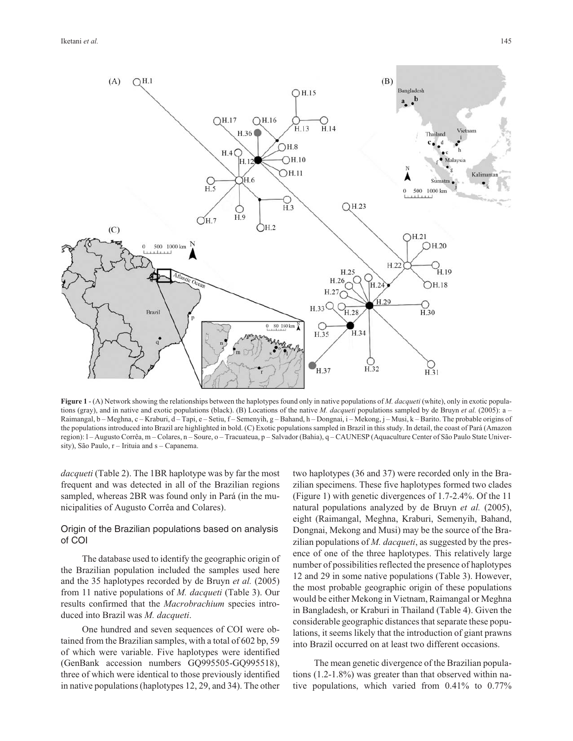

**Figure 1** - (A) Network showing the relationships between the haplotypes found only in native populations of *M. dacqueti* (white), only in exotic populations (gray), and in native and exotic populations (black). (B) Locations of the native *M. dacqueti* populations sampled by de Bruyn *et al.* (2005): a – Raimangal, b – Meghna, c – Kraburi, d – Tapi, e – Setiu, f – Semenyih, g – Bahand, h – Dongnai, i – Mekong, j – Musi, k – Barito. The probable origins of the populations introduced into Brazil are highlighted in bold. (C) Exotic populations sampled in Brazil in this study. In detail, the coast of Pará (Amazon region): l – Augusto Corrêa, m – Colares, n – Soure, o – Tracuateua, p – Salvador (Bahia), q – CAUNESP (Aquaculture Center of São Paulo State University), São Paulo, r – Irituia and s – Capanema.

*dacqueti* (Table 2). The 1BR haplotype was by far the most frequent and was detected in all of the Brazilian regions sampled, whereas 2BR was found only in Pará (in the municipalities of Augusto Corrêa and Colares).

# Origin of the Brazilian populations based on analysis of COI

The database used to identify the geographic origin of the Brazilian population included the samples used here and the 35 haplotypes recorded by de Bruyn *et al.* (2005) from 11 native populations of *M. dacqueti* (Table 3). Our results confirmed that the *Macrobrachium* species introduced into Brazil was *M. dacqueti*.

One hundred and seven sequences of COI were obtained from the Brazilian samples, with a total of 602 bp, 59 of which were variable. Five haplotypes were identified (GenBank accession numbers GQ995505-GQ995518), three of which were identical to those previously identified in native populations (haplotypes 12, 29, and 34). The other

two haplotypes (36 and 37) were recorded only in the Brazilian specimens. These five haplotypes formed two clades (Figure 1) with genetic divergences of 1.7-2.4%. Of the 11 natural populations analyzed by de Bruyn *et al.* (2005), eight (Raimangal, Meghna, Kraburi, Semenyih, Bahand, Dongnai, Mekong and Musi) may be the source of the Brazilian populations of *M. dacqueti*, as suggested by the presence of one of the three haplotypes. This relatively large number of possibilities reflected the presence of haplotypes 12 and 29 in some native populations (Table 3). However, the most probable geographic origin of these populations would be either Mekong in Vietnam, Raimangal or Meghna in Bangladesh, or Kraburi in Thailand (Table 4). Given the considerable geographic distances that separate these populations, it seems likely that the introduction of giant prawns into Brazil occurred on at least two different occasions.

The mean genetic divergence of the Brazilian populations (1.2-1.8%) was greater than that observed within native populations, which varied from 0.41% to 0.77%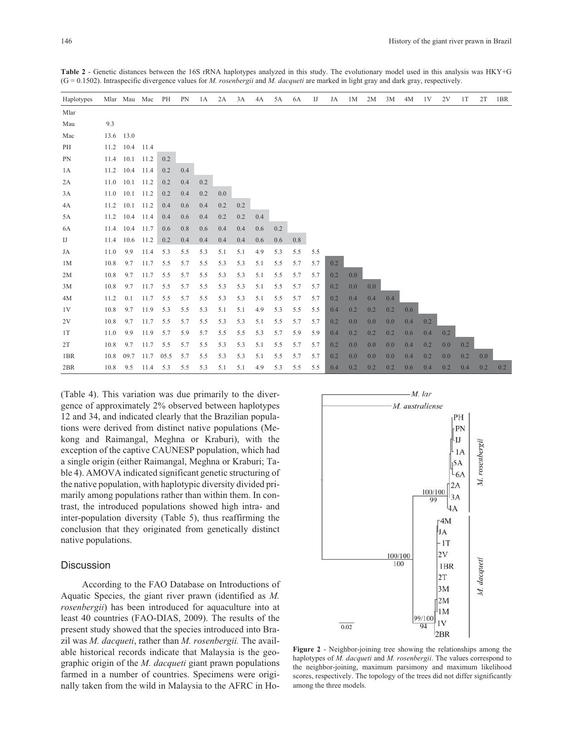| Haplotypes |      |                | Mlar Mau Mac | PH   | PN  | 1A  | 2A  | 3A  | 4A  | 5A  | 6A  | $_{\text{IJ}}$ | JA  | 1M  | 2M  | 3M  | 4M  | 1V  | 2V  | 1T  | 2T  | 1BR |
|------------|------|----------------|--------------|------|-----|-----|-----|-----|-----|-----|-----|----------------|-----|-----|-----|-----|-----|-----|-----|-----|-----|-----|
| Mlar       |      |                |              |      |     |     |     |     |     |     |     |                |     |     |     |     |     |     |     |     |     |     |
| Mau        | 9.3  |                |              |      |     |     |     |     |     |     |     |                |     |     |     |     |     |     |     |     |     |     |
| Mac        | 13.6 | 13.0           |              |      |     |     |     |     |     |     |     |                |     |     |     |     |     |     |     |     |     |     |
| PH         | 11.2 | 10.4           | 11.4         |      |     |     |     |     |     |     |     |                |     |     |     |     |     |     |     |     |     |     |
| PN         |      | 11.4 10.1 11.2 |              | 0.2  |     |     |     |     |     |     |     |                |     |     |     |     |     |     |     |     |     |     |
| 1A         | 11.2 | 10.4 11.4      |              | 0.2  | 0.4 |     |     |     |     |     |     |                |     |     |     |     |     |     |     |     |     |     |
| 2A         | 11.0 | 10.1           | 11.2         | 0.2  | 0.4 | 0.2 |     |     |     |     |     |                |     |     |     |     |     |     |     |     |     |     |
| 3A         | 11.0 |                | $10.1$ 11.2  | 0.2  | 0.4 | 0.2 | 0.0 |     |     |     |     |                |     |     |     |     |     |     |     |     |     |     |
| 4A         | 11.2 |                | $10.1$ 11.2  | 0.4  | 0.6 | 0.4 | 0.2 | 0.2 |     |     |     |                |     |     |     |     |     |     |     |     |     |     |
| 5A         | 11.2 |                | 10.4 11.4    | 0.4  | 0.6 | 0.4 | 0.2 | 0.2 | 0.4 |     |     |                |     |     |     |     |     |     |     |     |     |     |
| 6A         | 11.4 | 10.4           | 11.7         | 0.6  | 0.8 | 0.6 | 0.4 | 0.4 | 0.6 | 0.2 |     |                |     |     |     |     |     |     |     |     |     |     |
| IJ         | 11.4 |                | 10.6 11.2    | 0.2  | 0.4 | 0.4 | 0.4 | 0.4 | 0.6 | 0.6 | 0.8 |                |     |     |     |     |     |     |     |     |     |     |
| JA         | 11.0 | 9.9            | 11.4         | 5.3  | 5.5 | 5.3 | 5.1 | 5.1 | 4.9 | 5.3 | 5.5 | 5.5            |     |     |     |     |     |     |     |     |     |     |
| 1M         | 10.8 | 9.7            | 11.7         | 5.5  | 5.7 | 5.5 | 5.3 | 5.3 | 5.1 | 5.5 | 5.7 | 5.7            | 0.2 |     |     |     |     |     |     |     |     |     |
| 2M         | 10.8 | 9.7            | 11.7         | 5.5  | 5.7 | 5.5 | 5.3 | 5.3 | 5.1 | 5.5 | 5.7 | 5.7            | 0.2 | 0.0 |     |     |     |     |     |     |     |     |
| 3M         | 10.8 | 9.7            | 11.7         | 5.5  | 5.7 | 5.5 | 5.3 | 5.3 | 5.1 | 5.5 | 5.7 | 5.7            | 0.2 | 0.0 | 0.0 |     |     |     |     |     |     |     |
| 4M         | 11.2 | 0.1            | 11.7         | 5.5  | 5.7 | 5.5 | 5.3 | 5.3 | 5.1 | 5.5 | 5.7 | 5.7            | 0.2 | 0.4 | 0.4 | 0.4 |     |     |     |     |     |     |
| 1V         | 10.8 | 9.7            | 11.9         | 5.3  | 5.5 | 5.3 | 5.1 | 5.1 | 4.9 | 5.3 | 5.5 | 5.5            | 0.4 | 0.2 | 0.2 | 0.2 | 0.6 |     |     |     |     |     |
| 2V         | 10.8 | 9.7            | 11.7         | 5.5  | 5.7 | 5.5 | 5.3 | 5.3 | 5.1 | 5.5 | 5.7 | 5.7            | 0.2 | 0.0 | 0.0 | 0.0 | 0.4 | 0.2 |     |     |     |     |
| 1T         | 11.0 | 9.9            | 11.9         | 5.7  | 5.9 | 5.7 | 5.5 | 5.5 | 5.3 | 5.7 | 5.9 | 5.9            | 0.4 | 0.2 | 0.2 | 0.2 | 0.6 | 0.4 | 0.2 |     |     |     |
| 2T         | 10.8 | 9.7            | 11.7         | 5.5  | 5.7 | 5.5 | 5.3 | 5.3 | 5.1 | 5.5 | 5.7 | 5.7            | 0.2 | 0.0 | 0.0 | 0.0 | 0.4 | 0.2 | 0.0 | 0.2 |     |     |
| 1BR        | 10.8 | 09.7           | 11.7         | 05.5 | 5.7 | 5.5 | 5.3 | 5.3 | 5.1 | 5.5 | 5.7 | 5.7            | 0.2 | 0.0 | 0.0 | 0.0 | 0.4 | 0.2 | 0.0 | 0.2 | 0.0 |     |
| 2BR        | 10.8 | 9.5            | 11.4         | 5.3  | 5.5 | 5.3 | 5.1 | 5.1 | 4.9 | 5.3 | 5.5 | 5.5            | 0.4 | 0.2 | 0.2 | 0.2 | 0.6 | 0.4 | 0.2 | 0.4 | 0.2 | 0.2 |

**Table 2** - Genetic distances between the 16S rRNA haplotypes analyzed in this study. The evolutionary model used in this analysis was HKY+G (G = 0.1502). Intraspecific divergence values for *M. rosenbergii* and *M. dacqueti* are marked in light gray and dark gray, respectively.

(Table 4). This variation was due primarily to the divergence of approximately 2% observed between haplotypes 12 and 34, and indicated clearly that the Brazilian populations were derived from distinct native populations (Mekong and Raimangal, Meghna or Kraburi), with the exception of the captive CAUNESP population, which had a single origin (either Raimangal, Meghna or Kraburi; Table 4). AMOVA indicated significant genetic structuring of the native population, with haplotypic diversity divided primarily among populations rather than within them. In contrast, the introduced populations showed high intra- and inter-population diversity (Table 5), thus reaffirming the conclusion that they originated from genetically distinct native populations.

#### **Discussion**

According to the FAO Database on Introductions of Aquatic Species, the giant river prawn (identified as *M. rosenbergii*) has been introduced for aquaculture into at least 40 countries (FAO-DIAS, 2009). The results of the present study showed that the species introduced into Brazil was *M. dacqueti*, rather than *M. rosenbergii.* The available historical records indicate that Malaysia is the geographic origin of the *M. dacqueti* giant prawn populations farmed in a number of countries. Specimens were originally taken from the wild in Malaysia to the AFRC in Ho-



**Figure 2** - Neighbor-joining tree showing the relationships among the haplotypes of *M. dacqueti* and *M. rosenbergii*. The values correspond to the neighbor-joining, maximum parsimony and maximum likelihood scores, respectively. The topology of the trees did not differ significantly among the three models.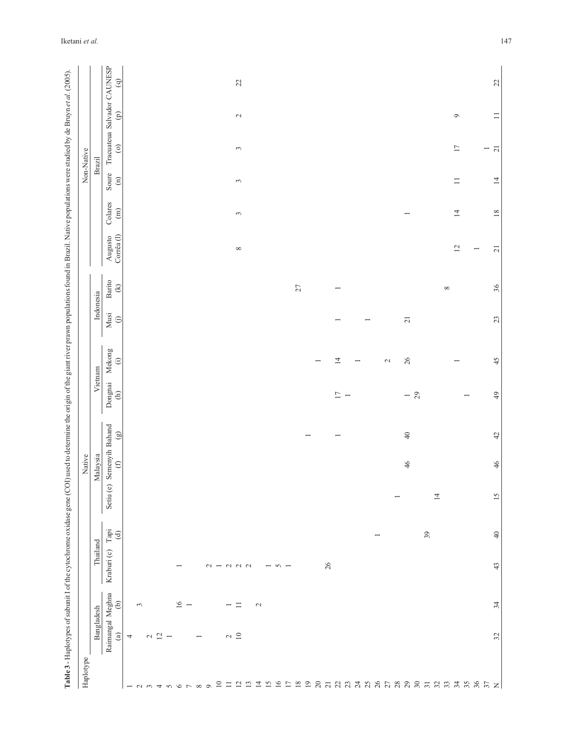| Haplotype           |                                   |                          |                                                |                          | Native                       |                          |                                           |                          |                  |                                                                                                                    |                                                           |                                      |                            | Non-Native                             |                    |                        |
|---------------------|-----------------------------------|--------------------------|------------------------------------------------|--------------------------|------------------------------|--------------------------|-------------------------------------------|--------------------------|------------------|--------------------------------------------------------------------------------------------------------------------|-----------------------------------------------------------|--------------------------------------|----------------------------|----------------------------------------|--------------------|------------------------|
|                     | Bangladesh                        |                          | Thailand                                       |                          | Malaysia                     |                          | Vietnam                                   |                          | Indonesia        |                                                                                                                    |                                                           |                                      |                            | Brazil                                 |                    |                        |
|                     | Raimangal Meghna<br>$\circledast$ | $\widehat{e}$            | $\mathsf{T}$ api<br>$\bigoplus$<br>Kraburi (c) | Setiu (e)                | Semenyih Bahand<br>(f) $(g)$ |                          | Dongnai<br>$\begin{array}{c} \end{array}$ | Mekong<br>$\oplus$       | Musi<br>$\oplus$ | <b>Barito</b><br>$\bigcirc \hspace{-0.75mm} \in \hspace{-0.75mm} \in \hspace{-0.75mm} \in \hspace{-0.75mm} \infty$ | $\operatorname{Corr\acute{e}a}\left( l\right)$<br>Augusto | Colares<br>$\left( \text{m} \right)$ | Soure<br>$\rm \widehat{E}$ | Tracuateua Salvador CAUNESP<br>$\odot$ | $\widehat{\Theta}$ | $\widehat{\mathbf{e}}$ |
|                     | 4                                 |                          |                                                |                          |                              |                          |                                           |                          |                  |                                                                                                                    |                                                           |                                      |                            |                                        |                    |                        |
|                     |                                   | $\mathfrak{g}$           |                                                |                          |                              |                          |                                           |                          |                  |                                                                                                                    |                                                           |                                      |                            |                                        |                    |                        |
| $- n n 4 n 6 7 8 9$ | $\sim$ $\frac{\sim}{\sim}$ $\sim$ |                          |                                                |                          |                              |                          |                                           |                          |                  |                                                                                                                    |                                                           |                                      |                            |                                        |                    |                        |
|                     |                                   |                          |                                                |                          |                              |                          |                                           |                          |                  |                                                                                                                    |                                                           |                                      |                            |                                        |                    |                        |
|                     |                                   |                          |                                                |                          |                              |                          |                                           |                          |                  |                                                                                                                    |                                                           |                                      |                            |                                        |                    |                        |
|                     |                                   | $16\,$                   | $\overline{\phantom{0}}$                       |                          |                              |                          |                                           |                          |                  |                                                                                                                    |                                                           |                                      |                            |                                        |                    |                        |
|                     |                                   | $\overline{\phantom{a}}$ |                                                |                          |                              |                          |                                           |                          |                  |                                                                                                                    |                                                           |                                      |                            |                                        |                    |                        |
|                     | $\overline{\phantom{a}}$          |                          |                                                |                          |                              |                          |                                           |                          |                  |                                                                                                                    |                                                           |                                      |                            |                                        |                    |                        |
|                     |                                   |                          |                                                |                          |                              |                          |                                           |                          |                  |                                                                                                                    |                                                           |                                      |                            |                                        |                    |                        |
|                     |                                   |                          | $\sim$ $-$                                     |                          |                              |                          |                                           |                          |                  |                                                                                                                    |                                                           |                                      |                            |                                        |                    |                        |
|                     | $\sim$ $10$                       |                          | $\begin{array}{c} 2 & 0 \\ 0 & 0 \end{array}$  |                          |                              |                          |                                           |                          |                  |                                                                                                                    |                                                           |                                      |                            |                                        |                    |                        |
|                     |                                   | $\Box$                   |                                                |                          |                              |                          |                                           |                          |                  |                                                                                                                    | $\infty$                                                  | $\omega$                             | $\sim$                     | $\sim$                                 | $\sim$             | $22$                   |
|                     |                                   |                          |                                                |                          |                              |                          |                                           |                          |                  |                                                                                                                    |                                                           |                                      |                            |                                        |                    |                        |
|                     |                                   | $\mathbf{C}$             |                                                |                          |                              |                          |                                           |                          |                  |                                                                                                                    |                                                           |                                      |                            |                                        |                    |                        |
|                     |                                   |                          | $\overline{\phantom{m}}$                       |                          |                              |                          |                                           |                          |                  |                                                                                                                    |                                                           |                                      |                            |                                        |                    |                        |
|                     |                                   |                          | $\sim$ $-$                                     |                          |                              |                          |                                           |                          |                  |                                                                                                                    |                                                           |                                      |                            |                                        |                    |                        |
|                     |                                   |                          |                                                |                          |                              |                          |                                           |                          |                  |                                                                                                                    |                                                           |                                      |                            |                                        |                    |                        |
|                     |                                   |                          |                                                |                          |                              |                          |                                           |                          |                  | $27$                                                                                                               |                                                           |                                      |                            |                                        |                    |                        |
|                     |                                   |                          |                                                |                          |                              | $\overline{\phantom{a}}$ |                                           |                          |                  |                                                                                                                    |                                                           |                                      |                            |                                        |                    |                        |
|                     |                                   |                          |                                                |                          |                              |                          |                                           | $\overline{\phantom{a}}$ |                  |                                                                                                                    |                                                           |                                      |                            |                                        |                    |                        |
|                     |                                   |                          | 26                                             |                          |                              |                          |                                           |                          |                  |                                                                                                                    |                                                           |                                      |                            |                                        |                    |                        |
|                     |                                   |                          |                                                |                          |                              | $\overline{ }$           | $\frac{17}{1}$ –                          | $\overline{1}4$          |                  | $\overline{\phantom{0}}$                                                                                           |                                                           |                                      |                            |                                        |                    |                        |
|                     |                                   |                          |                                                |                          |                              |                          |                                           |                          |                  |                                                                                                                    |                                                           |                                      |                            |                                        |                    |                        |
|                     |                                   |                          |                                                |                          |                              |                          |                                           | $\overline{\phantom{a}}$ |                  |                                                                                                                    |                                                           |                                      |                            |                                        |                    |                        |
|                     |                                   |                          | $\overline{\phantom{a}}$                       |                          |                              |                          |                                           |                          |                  |                                                                                                                    |                                                           |                                      |                            |                                        |                    |                        |
|                     |                                   |                          |                                                |                          |                              |                          |                                           | $\sim$                   |                  |                                                                                                                    |                                                           |                                      |                            |                                        |                    |                        |
|                     |                                   |                          |                                                | $\overline{\phantom{0}}$ |                              |                          |                                           |                          |                  |                                                                                                                    |                                                           |                                      |                            |                                        |                    |                        |
|                     |                                   |                          |                                                |                          | 46                           | $\sqrt{4}$               | $-29$                                     | $26\,$                   | $\overline{21}$  |                                                                                                                    |                                                           |                                      |                            |                                        |                    |                        |
|                     |                                   |                          |                                                |                          |                              |                          |                                           |                          |                  |                                                                                                                    |                                                           |                                      |                            |                                        |                    |                        |
|                     |                                   |                          | 39                                             |                          |                              |                          |                                           |                          |                  |                                                                                                                    |                                                           |                                      |                            |                                        |                    |                        |
|                     |                                   |                          |                                                | $\overline{4}$           |                              |                          |                                           |                          |                  |                                                                                                                    |                                                           |                                      |                            |                                        |                    |                        |
|                     |                                   |                          |                                                |                          |                              |                          |                                           |                          |                  | $\infty$                                                                                                           |                                                           |                                      |                            |                                        |                    |                        |
|                     |                                   |                          |                                                |                          |                              |                          |                                           | $\overline{ }$           |                  |                                                                                                                    | 12                                                        | $14\,$                               | $\equiv$                   | $17\,$                                 | $\circ$            |                        |
|                     |                                   |                          |                                                |                          |                              |                          | $\overline{\phantom{0}}$                  |                          |                  |                                                                                                                    |                                                           |                                      |                            |                                        |                    |                        |
|                     |                                   |                          |                                                |                          |                              |                          |                                           |                          |                  |                                                                                                                    |                                                           |                                      |                            |                                        |                    |                        |
|                     | 32                                | 34                       | $\varphi$<br>43                                | 15                       | 46                           | $42$                     | 49                                        | 45                       | $23$             | 36                                                                                                                 | $\overline{21}$                                           | $18\,$                               | $\overline{4}$             | $\overline{2}$                         | $\equiv$           | $22$                   |
|                     |                                   |                          |                                                |                          |                              |                          |                                           |                          |                  |                                                                                                                    |                                                           |                                      |                            |                                        |                    |                        |

Iketani *et al.* 147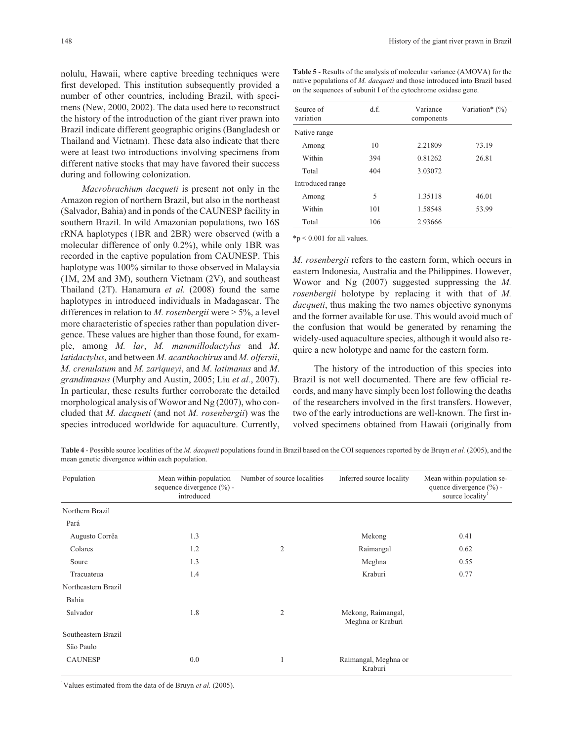nolulu, Hawaii, where captive breeding techniques were first developed. This institution subsequently provided a number of other countries, including Brazil, with specimens (New, 2000, 2002). The data used here to reconstruct the history of the introduction of the giant river prawn into Brazil indicate different geographic origins (Bangladesh or Thailand and Vietnam). These data also indicate that there were at least two introductions involving specimens from different native stocks that may have favored their success during and following colonization.

*Macrobrachium dacqueti* is present not only in the Amazon region of northern Brazil, but also in the northeast (Salvador, Bahia) and in ponds of the CAUNESP facility in southern Brazil. In wild Amazonian populations, two 16S rRNA haplotypes (1BR and 2BR) were observed (with a molecular difference of only 0.2%), while only 1BR was recorded in the captive population from CAUNESP. This haplotype was 100% similar to those observed in Malaysia (1M, 2M and 3M), southern Vietnam (2V), and southeast Thailand (2T). Hanamura *et al.* (2008) found the same haplotypes in introduced individuals in Madagascar. The differences in relation to *M. rosenbergii* were > 5%, a level more characteristic of species rather than population divergence. These values are higher than those found, for example, among *M. lar*, *M. mammillodactylus* and *M*. *latidactylus*, and between *M. acanthochirus* and *M. olfersii*, *M. crenulatum* and *M. zariqueyi*, and *M*. *latimanus* and *M*. *grandimanus* (Murphy and Austin, 2005; Liu *et al.*, 2007). In particular, these results further corroborate the detailed morphological analysis of Wowor and Ng (2007), who concluded that *M. dacqueti* (and not *M. rosenbergii*) was the species introduced worldwide for aquaculture. Currently,

**Table 5** - Results of the analysis of molecular variance (AMOVA) for the native populations of *M. dacqueti* and those introduced into Brazil based on the sequences of subunit I of the cytochrome oxidase gene.

| Source of<br>variation | d.f. | Variance<br>components | Variation* $(\%)$ |
|------------------------|------|------------------------|-------------------|
| Native range           |      |                        |                   |
| Among                  | 10   | 2.21809                | 73.19             |
| Within                 | 394  | 0.81262                | 26.81             |
| Total                  | 404  | 3.03072                |                   |
| Introduced range       |      |                        |                   |
| Among                  | 5    | 1.35118                | 46.01             |
| Within                 | 101  | 1.58548                | 53.99             |
| Total                  | 106  | 2.93666                |                   |

 $*p < 0.001$  for all values.

*M. rosenbergii* refers to the eastern form, which occurs in eastern Indonesia, Australia and the Philippines. However, Wowor and Ng (2007) suggested suppressing the *M. rosenbergii* holotype by replacing it with that of *M. dacqueti*, thus making the two names objective synonyms and the former available for use. This would avoid much of the confusion that would be generated by renaming the widely-used aquaculture species, although it would also require a new holotype and name for the eastern form.

The history of the introduction of this species into Brazil is not well documented. There are few official records, and many have simply been lost following the deaths of the researchers involved in the first transfers. However, two of the early introductions are well-known. The first involved specimens obtained from Hawaii (originally from

**Table 4** - Possible source localities of the *M. dacqueti* populations found in Brazil based on the COI sequences reported by de Bruyn *et al.* (2005), and the mean genetic divergence within each population.

| Population          | Mean within-population<br>sequence divergence $(\% )$ -<br>introduced | Number of source localities | Inferred source locality                | Mean within-population se-<br>quence divergence $(\% )$ -<br>source locality <sup>1</sup> |
|---------------------|-----------------------------------------------------------------------|-----------------------------|-----------------------------------------|-------------------------------------------------------------------------------------------|
| Northern Brazil     |                                                                       |                             |                                         |                                                                                           |
| Pará                |                                                                       |                             |                                         |                                                                                           |
| Augusto Corrêa      | 1.3                                                                   |                             | Mekong                                  | 0.41                                                                                      |
| Colares             | 1.2                                                                   | 2                           | Raimangal                               | 0.62                                                                                      |
| Soure               | 1.3                                                                   |                             | Meghna                                  | 0.55                                                                                      |
| Tracuateua          | 1.4                                                                   |                             | Kraburi                                 | 0.77                                                                                      |
| Northeastern Brazil |                                                                       |                             |                                         |                                                                                           |
| Bahia               |                                                                       |                             |                                         |                                                                                           |
| Salvador            | 1.8                                                                   | $\overline{2}$              | Mekong, Raimangal,<br>Meghna or Kraburi |                                                                                           |
| Southeastern Brazil |                                                                       |                             |                                         |                                                                                           |
| São Paulo           |                                                                       |                             |                                         |                                                                                           |
| <b>CAUNESP</b>      | 0.0                                                                   | 1                           | Raimangal, Meghna or<br>Kraburi         |                                                                                           |

<sup>1</sup>Values estimated from the data of de Bruyn *et al.* (2005).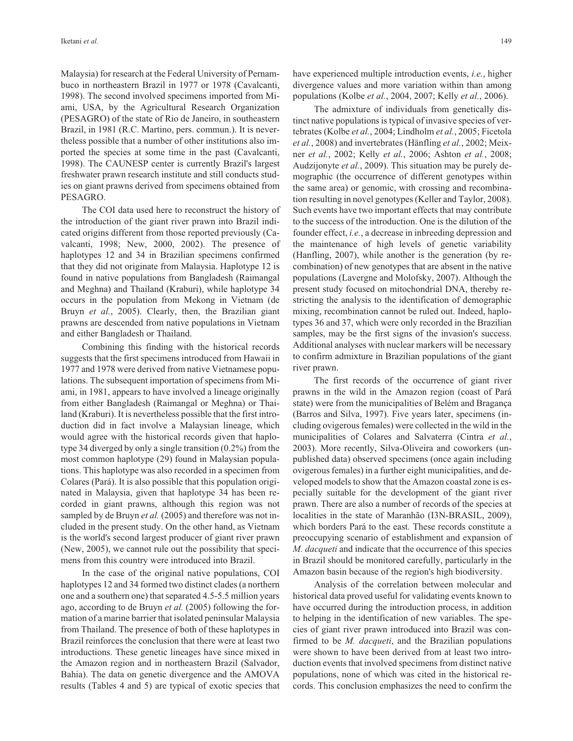Malaysia) for research at the Federal University of Pernambuco in northeastern Brazil in 1977 or 1978 (Cavalcanti, 1998). The second involved specimens imported from Miami, USA, by the Agricultural Research Organization (PESAGRO) of the state of Rio de Janeiro, in southeastern Brazil, in 1981 (R.C. Martino, pers. commun.). It is nevertheless possible that a number of other institutions also imported the species at some time in the past (Cavalcanti, 1998). The CAUNESP center is currently Brazil's largest freshwater prawn research institute and still conducts studies on giant prawns derived from specimens obtained from PESAGRO.

The COI data used here to reconstruct the history of the introduction of the giant river prawn into Brazil indicated origins different from those reported previously (Cavalcanti, 1998; New, 2000, 2002). The presence of haplotypes 12 and 34 in Brazilian specimens confirmed that they did not originate from Malaysia. Haplotype 12 is found in native populations from Bangladesh (Raimangal and Meghna) and Thailand (Kraburi), while haplotype 34 occurs in the population from Mekong in Vietnam (de Bruyn *et al.*, 2005). Clearly, then, the Brazilian giant prawns are descended from native populations in Vietnam and either Bangladesh or Thailand.

Combining this finding with the historical records suggests that the first specimens introduced from Hawaii in 1977 and 1978 were derived from native Vietnamese populations. The subsequent importation of specimens from Miami, in 1981, appears to have involved a lineage originally from either Bangladesh (Raimangal or Meghna) or Thailand (Kraburi). It is nevertheless possible that the first introduction did in fact involve a Malaysian lineage, which would agree with the historical records given that haplotype 34 diverged by only a single transition (0.2%) from the most common haplotype (29) found in Malaysian populations. This haplotype was also recorded in a specimen from Colares (Pará). It is also possible that this population originated in Malaysia, given that haplotype 34 has been recorded in giant prawns, although this region was not sampled by de Bruyn *et al.* (2005) and therefore was not included in the present study. On the other hand, as Vietnam is the world's second largest producer of giant river prawn (New, 2005), we cannot rule out the possibility that specimens from this country were introduced into Brazil.

In the case of the original native populations, COI haplotypes 12 and 34 formed two distinct clades (a northern one and a southern one) that separated 4.5-5.5 million years ago, according to de Bruyn *et al.* (2005) following the formation of a marine barrier that isolated peninsular Malaysia from Thailand. The presence of both of these haplotypes in Brazil reinforces the conclusion that there were at least two introductions. These genetic lineages have since mixed in the Amazon region and in northeastern Brazil (Salvador, Bahia). The data on genetic divergence and the AMOVA results (Tables 4 and 5) are typical of exotic species that

have experienced multiple introduction events, *i.e.*, higher divergence values and more variation within than among populations (Kolbe *et al.*, 2004, 2007; Kelly *et al.*, 2006).

The admixture of individuals from genetically distinct native populations is typical of invasive species of vertebrates (Kolbe *et al.*, 2004; Lindholm *et al.*, 2005; Ficetola *et al.*, 2008) and invertebrates (Hänfling *et al.*, 2002; Meixner *et al.*, 2002; Kelly *et al.*, 2006; Ashton *et al.*, 2008; Audzijonyte *et al.*, 2009). This situation may be purely demographic (the occurrence of different genotypes within the same area) or genomic, with crossing and recombination resulting in novel genotypes (Keller and Taylor, 2008). Such events have two important effects that may contribute to the success of the introduction. One is the dilution of the founder effect, *i.e.*, a decrease in inbreeding depression and the maintenance of high levels of genetic variability (Hanfling, 2007), while another is the generation (by recombination) of new genotypes that are absent in the native populations (Lavergne and Molofsky, 2007). Although the present study focused on mitochondrial DNA, thereby restricting the analysis to the identification of demographic mixing, recombination cannot be ruled out. Indeed, haplotypes 36 and 37, which were only recorded in the Brazilian samples, may be the first signs of the invasion's success. Additional analyses with nuclear markers will be necessary to confirm admixture in Brazilian populations of the giant river prawn.

The first records of the occurrence of giant river prawns in the wild in the Amazon region (coast of Pará state) were from the municipalities of Belém and Bragança (Barros and Silva, 1997). Five years later, specimens (including ovigerous females) were collected in the wild in the municipalities of Colares and Salvaterra (Cintra *et al.*, 2003). More recently, Silva-Oliveira and coworkers (unpublished data) observed specimens (once again including ovigerous females) in a further eight municipalities, and developed models to show that the Amazon coastal zone is especially suitable for the development of the giant river prawn. There are also a number of records of the species at localities in the state of Maranhão (I3N-BRASIL, 2009), which borders Pará to the east. These records constitute a preoccupying scenario of establishment and expansion of *M. dacqueti* and indicate that the occurrence of this species in Brazil should be monitored carefully, particularly in the Amazon basin because of the region's high biodiversity.

Analysis of the correlation between molecular and historical data proved useful for validating events known to have occurred during the introduction process, in addition to helping in the identification of new variables. The species of giant river prawn introduced into Brazil was confirmed to be *M. dacqueti*, and the Brazilian populations were shown to have been derived from at least two introduction events that involved specimens from distinct native populations, none of which was cited in the historical records. This conclusion emphasizes the need to confirm the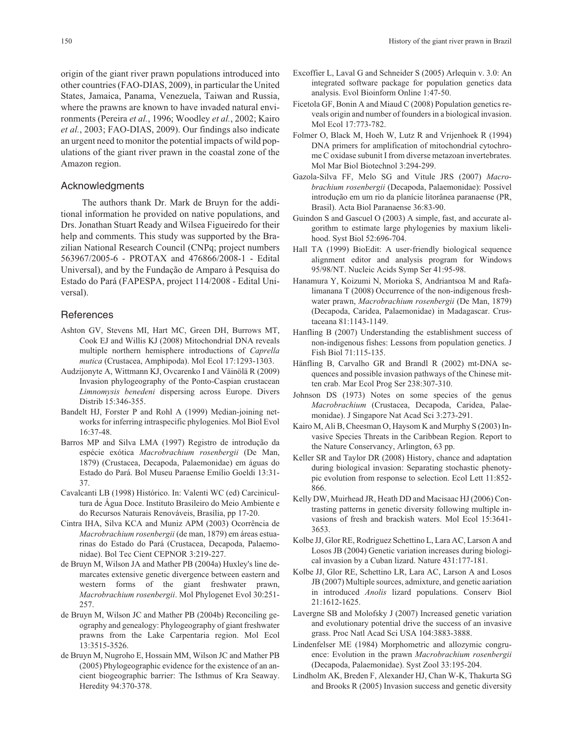origin of the giant river prawn populations introduced into other countries (FAO-DIAS, 2009), in particular the United States, Jamaica, Panama, Venezuela, Taiwan and Russia, where the prawns are known to have invaded natural environments (Pereira *et al.*, 1996; Woodley *et al.*, 2002; Kairo *et al.*, 2003; FAO-DIAS, 2009). Our findings also indicate an urgent need to monitor the potential impacts of wild populations of the giant river prawn in the coastal zone of the Amazon region.

## Acknowledgments

The authors thank Dr. Mark de Bruyn for the additional information he provided on native populations, and Drs. Jonathan Stuart Ready and Wilsea Figueiredo for their help and comments. This study was supported by the Brazilian National Research Council (CNPq; project numbers 563967/2005-6 - PROTAX and 476866/2008-1 - Edital Universal), and by the Fundação de Amparo à Pesquisa do Estado do Pará (FAPESPA, project 114/2008 - Edital Universal).

### **References**

- Ashton GV, Stevens MI, Hart MC, Green DH, Burrows MT, Cook EJ and Willis KJ (2008) Mitochondrial DNA reveals multiple northern hemisphere introductions of *Caprella mutica* (Crustacea, Amphipoda). Mol Ecol 17:1293-1303.
- Audzijonyte A, Wittmann KJ, Ovcarenko I and Väinölä R (2009) Invasion phylogeography of the Ponto-Caspian crustacean *Limnomysis benedeni* dispersing across Europe. Divers Distrib 15:346-355.
- Bandelt HJ, Forster P and Rohl A (1999) Median-joining networks for inferring intraspecific phylogenies. Mol Biol Evol 16:37-48.
- Barros MP and Silva LMA (1997) Registro de introdução da espécie exótica *Macrobrachium rosenbergii* (De Man, 1879) (Crustacea, Decapoda, Palaemonidae) em águas do Estado do Pará. Bol Museu Paraense Emílio Goeldi 13:31- 37.
- Cavalcanti LB (1998) Histórico. In: Valenti WC (ed) Carcinicultura de Água Doce. Instituto Brasileiro do Meio Ambiente e do Recursos Naturais Renováveis, Brasília, pp 17-20.
- Cintra IHA, Silva KCA and Muniz APM (2003) Ocorrência de *Macrobrachium rosenbergii* (de man, 1879) em áreas estuarinas do Estado do Pará (Crustacea, Decapoda, Palaemonidae). Bol Tec Cient CEPNOR 3:219-227.
- de Bruyn M, Wilson JA and Mather PB (2004a) Huxley's line demarcates extensive genetic divergence between eastern and western forms of the giant freshwater prawn, *Macrobrachium rosenbergii*. Mol Phylogenet Evol 30:251- 257.
- de Bruyn M, Wilson JC and Mather PB (2004b) Reconciling geography and genealogy: Phylogeography of giant freshwater prawns from the Lake Carpentaria region. Mol Ecol 13:3515-3526.
- de Bruyn M, Nugroho E, Hossain MM, Wilson JC and Mather PB (2005) Phylogeographic evidence for the existence of an ancient biogeographic barrier: The Isthmus of Kra Seaway. Heredity 94:370-378.
- Excoffier L, Laval G and Schneider S (2005) Arlequin v. 3.0: An integrated software package for population genetics data analysis. Evol Bioinform Online 1:47-50.
- Ficetola GF, Bonin A and Miaud C (2008) Population genetics reveals origin and number of founders in a biological invasion. Mol Ecol 17:773-782.
- Folmer O, Black M, Hoeh W, Lutz R and Vrijenhoek R (1994) DNA primers for amplification of mitochondrial cytochrome C oxidase subunit I from diverse metazoan invertebrates. Mol Mar Biol Biotechnol 3:294-299.
- Gazola-Silva FF, Melo SG and Vitule JRS (2007) *Macrobrachium rosenbergii* (Decapoda, Palaemonidae): Possível introdução em um rio da planície litorânea paranaense (PR, Brasil). Acta Biol Paranaense 36:83-90.
- Guindon S and Gascuel O (2003) A simple, fast, and accurate algorithm to estimate large phylogenies by maxium likelihood. Syst Biol 52:696-704.
- Hall TA (1999) BioEdit: A user-friendly biological sequence alignment editor and analysis program for Windows 95/98/NT. Nucleic Acids Symp Ser 41:95-98.
- Hanamura Y, Koizumi N, Morioka S, Andriantsoa M and Rafalimanana T (2008) Occurrence of the non-indigenous freshwater prawn, *Macrobrachium rosenbergii* (De Man, 1879) (Decapoda, Caridea, Palaemonidae) in Madagascar. Crustaceana 81:1143-1149.
- Hanfling B (2007) Understanding the establishment success of non-indigenous fishes: Lessons from population genetics. J Fish Biol 71:115-135.
- Hänfling B, Carvalho GR and Brandl R (2002) mt-DNA sequences and possible invasion pathways of the Chinese mitten crab. Mar Ecol Prog Ser 238:307-310.
- Johnson DS (1973) Notes on some species of the genus *Macrobrachium* (Crustacea, Decapoda, Caridea, Palaemonidae). J Singapore Nat Acad Sci 3:273-291.
- Kairo M, Ali B, Cheesman O, Haysom K and Murphy S (2003) Invasive Species Threats in the Caribbean Region. Report to the Nature Conservancy, Arlington, 63 pp.
- Keller SR and Taylor DR (2008) History, chance and adaptation during biological invasion: Separating stochastic phenotypic evolution from response to selection. Ecol Lett 11:852- 866.
- Kelly DW, Muirhead JR, Heath DD and Macisaac HJ (2006) Contrasting patterns in genetic diversity following multiple invasions of fresh and brackish waters. Mol Ecol 15:3641- 3653.
- Kolbe JJ, Glor RE, Rodriguez Schettino L, Lara AC, Larson A and Losos JB (2004) Genetic variation increases during biological invasion by a Cuban lizard. Nature 431:177-181.
- Kolbe JJ, Glor RE, Schettino LR, Lara AC, Larson A and Losos JB (2007) Multiple sources, admixture, and genetic aariation in introduced *Anolis* lizard populations. Conserv Biol 21:1612-1625.
- Lavergne SB and Molofsky J (2007) Increased genetic variation and evolutionary potential drive the success of an invasive grass. Proc Natl Acad Sci USA 104:3883-3888.
- Lindenfelser ME (1984) Morphometric and allozymic congruence: Evolution in the prawn *Macrobrachium rosenbergii* (Decapoda, Palaemonidae). Syst Zool 33:195-204.
- Lindholm AK, Breden F, Alexander HJ, Chan W-K, Thakurta SG and Brooks R (2005) Invasion success and genetic diversity